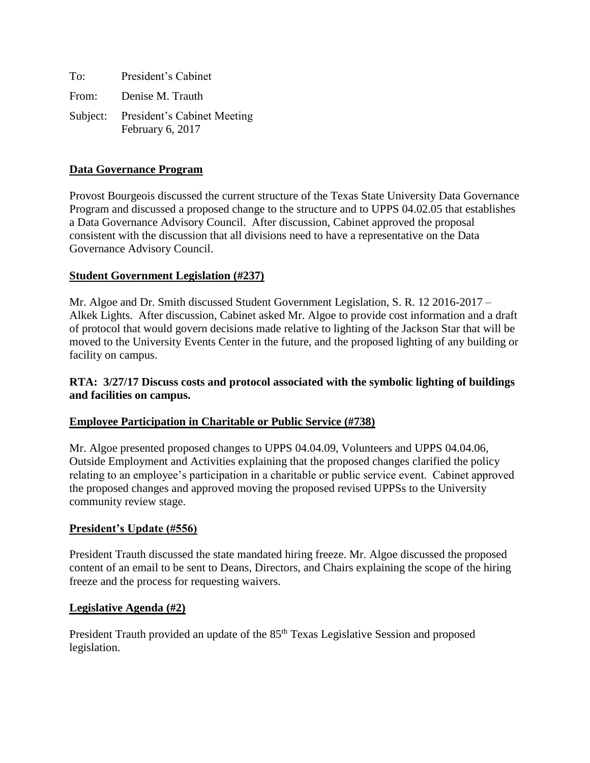| To: | President's Cabinet                                      |
|-----|----------------------------------------------------------|
|     | From: Denise M. Trauth                                   |
|     | Subject: President's Cabinet Meeting<br>February 6, 2017 |

#### **Data Governance Program**

Provost Bourgeois discussed the current structure of the Texas State University Data Governance Program and discussed a proposed change to the structure and to UPPS 04.02.05 that establishes a Data Governance Advisory Council. After discussion, Cabinet approved the proposal consistent with the discussion that all divisions need to have a representative on the Data Governance Advisory Council.

#### **Student Government Legislation (#237)**

Mr. Algoe and Dr. Smith discussed Student Government Legislation, S. R. 12 2016-2017 – Alkek Lights. After discussion, Cabinet asked Mr. Algoe to provide cost information and a draft of protocol that would govern decisions made relative to lighting of the Jackson Star that will be moved to the University Events Center in the future, and the proposed lighting of any building or facility on campus.

#### **RTA: 3/27/17 Discuss costs and protocol associated with the symbolic lighting of buildings and facilities on campus.**

### **Employee Participation in Charitable or Public Service (#738)**

Mr. Algoe presented proposed changes to UPPS 04.04.09, Volunteers and UPPS 04.04.06, Outside Employment and Activities explaining that the proposed changes clarified the policy relating to an employee's participation in a charitable or public service event. Cabinet approved the proposed changes and approved moving the proposed revised UPPSs to the University community review stage.

### **President's Update (#556)**

President Trauth discussed the state mandated hiring freeze. Mr. Algoe discussed the proposed content of an email to be sent to Deans, Directors, and Chairs explaining the scope of the hiring freeze and the process for requesting waivers.

#### **Legislative Agenda (#2)**

President Trauth provided an update of the 85<sup>th</sup> Texas Legislative Session and proposed legislation.